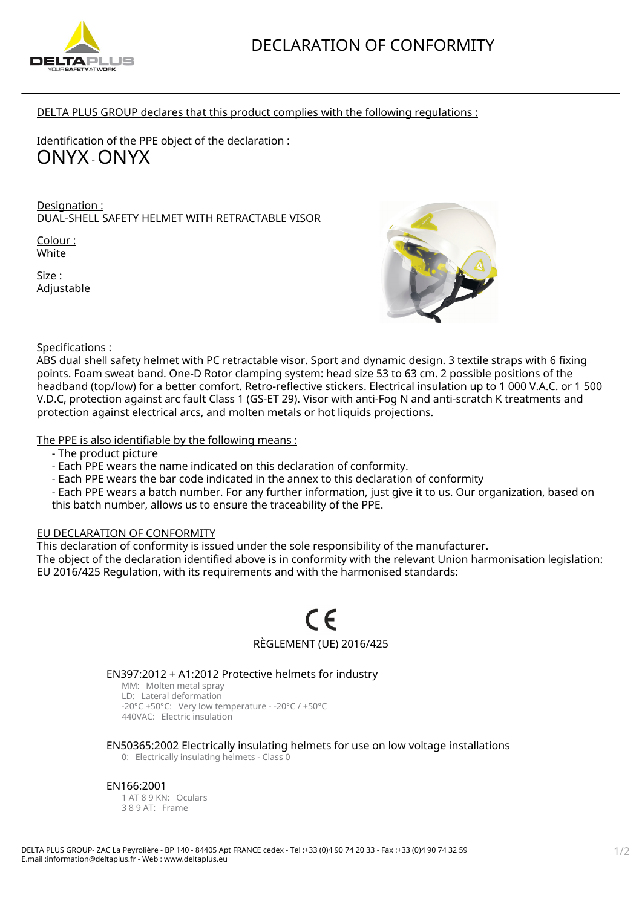

DELTA PLUS GROUP declares that this product complies with the following regulations :

Identification of the PPE object of the declaration : ONYX - ONYX

Designation : DUAL-SHELL SAFETY HELMET WITH RETRACTABLE VISOR

Colour : White

Size : Adjustable



Specifications :

ABS dual shell safety helmet with PC retractable visor. Sport and dynamic design. 3 textile straps with 6 fixing points. Foam sweat band. One-D Rotor clamping system: head size 53 to 63 cm. 2 possible positions of the headband (top/low) for a better comfort. Retro-reflective stickers. Electrical insulation up to 1 000 V.A.C. or 1 500 V.D.C, protection against arc fault Class 1 (GS-ET 29). Visor with anti-Fog N and anti-scratch K treatments and protection against electrical arcs, and molten metals or hot liquids projections.

The PPE is also identifiable by the following means :

- The product picture
- Each PPE wears the name indicated on this declaration of conformity.
- Each PPE wears the bar code indicated in the annex to this declaration of conformity
- Each PPE wears a batch number. For any further information, just give it to us. Our organization, based on this batch number, allows us to ensure the traceability of the PPE.

# EU DECLARATION OF CONFORMITY

This declaration of conformity is issued under the sole responsibility of the manufacturer.

The object of the declaration identified above is in conformity with the relevant Union harmonisation legislation: EU 2016/425 Regulation, with its requirements and with the harmonised standards:

# $\epsilon$ RÈGLEMENT (UE) 2016/425

# EN397:2012 + A1:2012 Protective helmets for industry

MM: Molten metal spray LD: Lateral deformation -20°C +50°C: Very low temperature - -20°C / +50°C 440VAC: Electric insulation

# EN50365:2002 Electrically insulating helmets for use on low voltage installations

0: Electrically insulating helmets - Class 0

#### EN166:2001

1 AT 8 9 KN: Oculars 3 8 9 AT: Frame